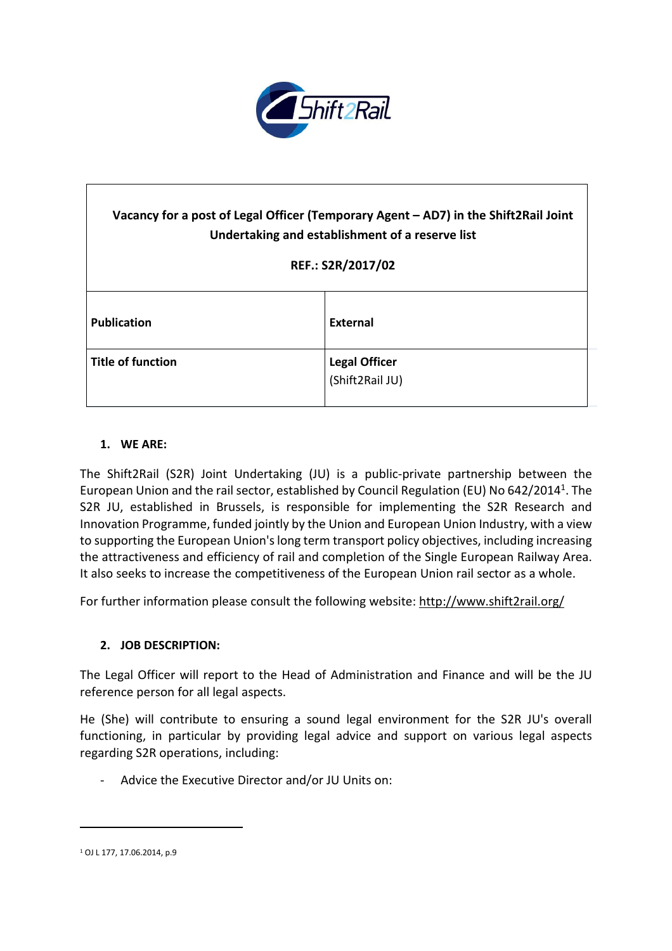

# **Vacancy for a post of Legal Officer (Temporary Agent – AD7) in the Shift2Rail Joint Undertaking and establishment of a reserve list REF.: S2R/2017/02 Publication External Title of function Legal Officer** (Shift2Rail JU)

# **1. WE ARE:**

The Shift2Rail (S2R) Joint Undertaking (JU) is a public-private partnership between the European Union and the rail sector, established by Council Regulation (EU) No 642/2014<sup>1</sup>. The S2R JU, established in Brussels, is responsible for implementing the S2R Research and Innovation Programme, funded jointly by the Union and European Union Industry, with a view to supporting the European Union's long term transport policy objectives, including increasing the attractiveness and efficiency of rail and completion of the Single European Railway Area. It also seeks to increase the competitiveness of the European Union rail sector as a whole.

For further information please consult the following website: <http://www.shift2rail.org/>

#### **2. JOB DESCRIPTION:**

The Legal Officer will report to the Head of Administration and Finance and will be the JU reference person for all legal aspects.

He (She) will contribute to ensuring a sound legal environment for the S2R JU's overall functioning, in particular by providing legal advice and support on various legal aspects regarding S2R operations, including:

Advice the Executive Director and/or JU Units on:

 $\overline{a}$ 

<sup>1</sup> OJ L 177, 17.06.2014, p.9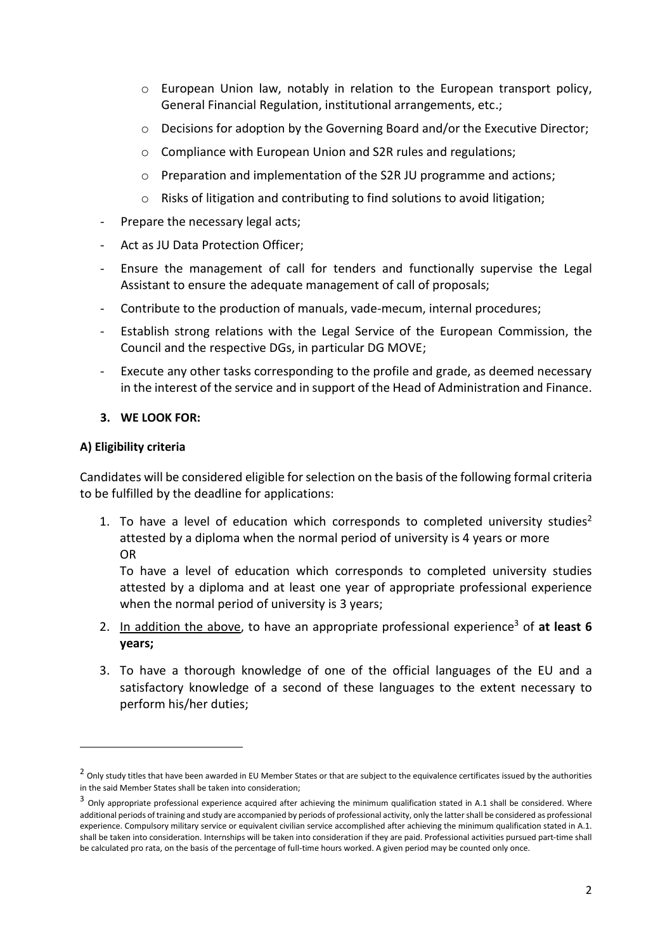- $\circ$  European Union law, notably in relation to the European transport policy, General Financial Regulation, institutional arrangements, etc.;
- o Decisions for adoption by the Governing Board and/or the Executive Director;
- o Compliance with European Union and S2R rules and regulations;
- o Preparation and implementation of the S2R JU programme and actions;
- o Risks of litigation and contributing to find solutions to avoid litigation;
- Prepare the necessary legal acts;
- Act as JU Data Protection Officer;
- Ensure the management of call for tenders and functionally supervise the Legal Assistant to ensure the adequate management of call of proposals;
- Contribute to the production of manuals, vade-mecum, internal procedures;
- Establish strong relations with the Legal Service of the European Commission, the Council and the respective DGs, in particular DG MOVE;
- Execute any other tasks corresponding to the profile and grade, as deemed necessary in the interest of the service and in support of the Head of Administration and Finance.

#### **3. WE LOOK FOR:**

#### **A) Eligibility criteria**

 $\overline{a}$ 

Candidates will be considered eligible forselection on the basis of the following formal criteria to be fulfilled by the deadline for applications:

1. To have a level of education which corresponds to completed university studies<sup>2</sup> attested by a diploma when the normal period of university is 4 years or more OR

To have a level of education which corresponds to completed university studies attested by a diploma and at least one year of appropriate professional experience when the normal period of university is 3 years;

- 2. In addition the above, to have an appropriate professional experience<sup>3</sup> of at least 6 **years;**
- 3. To have a thorough knowledge of one of the official languages of the EU and a satisfactory knowledge of a second of these languages to the extent necessary to perform his/her duties;

<sup>&</sup>lt;sup>2</sup> Only study titles that have been awarded in EU Member States or that are subject to the equivalence certificates issued by the authorities in the said Member States shall be taken into consideration;

<sup>&</sup>lt;sup>3</sup> Only appropriate professional experience acquired after achieving the minimum qualification stated in A.1 shall be considered. Where additional periods of training and study are accompanied by periods of professional activity, only the lattershall be considered as professional experience. Compulsory military service or equivalent civilian service accomplished after achieving the minimum qualification stated in A.1. shall be taken into consideration. Internships will be taken into consideration if they are paid. Professional activities pursued part-time shall be calculated pro rata, on the basis of the percentage of full-time hours worked. A given period may be counted only once.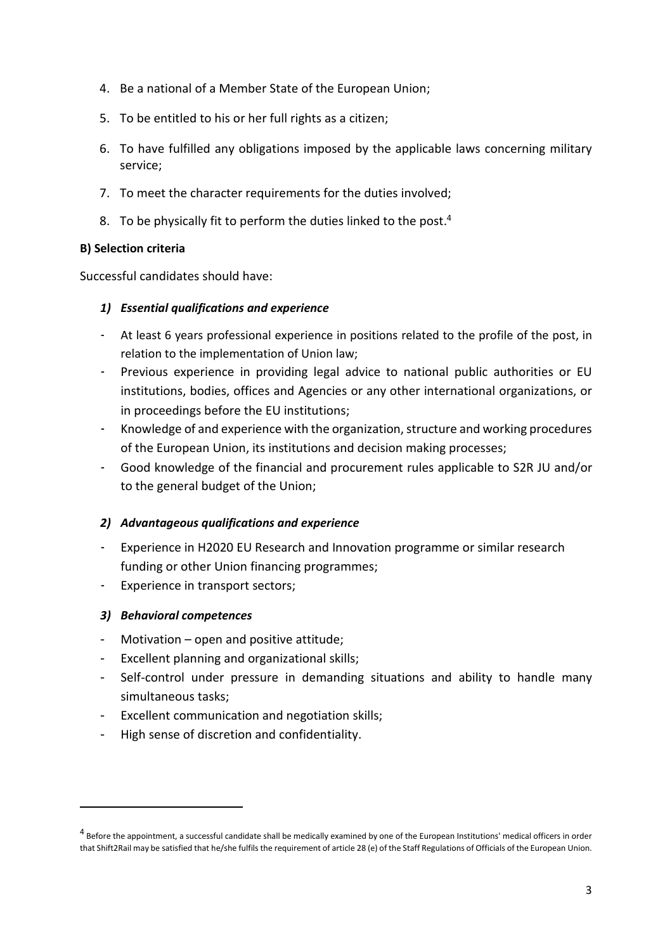- 4. Be a national of a Member State of the European Union;
- 5. To be entitled to his or her full rights as a citizen;
- 6. To have fulfilled any obligations imposed by the applicable laws concerning military service;
- 7. To meet the character requirements for the duties involved;
- 8. To be physically fit to perform the duties linked to the post.<sup>4</sup>

## **B) Selection criteria**

Successful candidates should have:

## *1) Essential qualifications and experience*

- At least 6 years professional experience in positions related to the profile of the post, in relation to the implementation of Union law;
- Previous experience in providing legal advice to national public authorities or EU institutions, bodies, offices and Agencies or any other international organizations, or in proceedings before the EU institutions;
- Knowledge of and experience with the organization, structure and working procedures of the European Union, its institutions and decision making processes;
- Good knowledge of the financial and procurement rules applicable to S2R JU and/or to the general budget of the Union;

# *2) Advantageous qualifications and experience*

- Experience in H2020 EU Research and Innovation programme or similar research funding or other Union financing programmes;
- Experience in transport sectors;

#### *3) Behavioral competences*

 $\overline{a}$ 

- Motivation open and positive attitude;
- Excellent planning and organizational skills;
- Self-control under pressure in demanding situations and ability to handle many simultaneous tasks;
- Excellent communication and negotiation skills;
- High sense of discretion and confidentiality.

 $^4$  Before the appointment, a successful candidate shall be medically examined by one of the European Institutions' medical officers in order that Shift2Rail may be satisfied that he/she fulfils the requirement of article 28 (e) of the Staff Regulations of Officials of the European Union.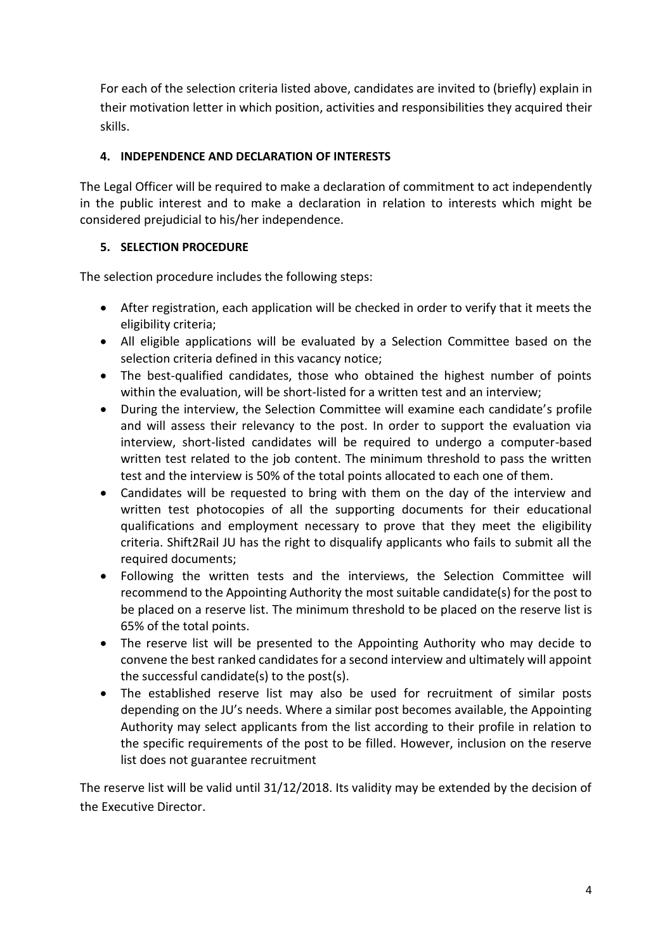For each of the selection criteria listed above, candidates are invited to (briefly) explain in their motivation letter in which position, activities and responsibilities they acquired their skills.

# **4. INDEPENDENCE AND DECLARATION OF INTERESTS**

The Legal Officer will be required to make a declaration of commitment to act independently in the public interest and to make a declaration in relation to interests which might be considered prejudicial to his/her independence.

# **5. SELECTION PROCEDURE**

The selection procedure includes the following steps:

- After registration, each application will be checked in order to verify that it meets the eligibility criteria;
- All eligible applications will be evaluated by a Selection Committee based on the selection criteria defined in this vacancy notice;
- The best-qualified candidates, those who obtained the highest number of points within the evaluation, will be short-listed for a written test and an interview;
- During the interview, the Selection Committee will examine each candidate's profile and will assess their relevancy to the post. In order to support the evaluation via interview, short-listed candidates will be required to undergo a computer-based written test related to the job content. The minimum threshold to pass the written test and the interview is 50% of the total points allocated to each one of them.
- Candidates will be requested to bring with them on the day of the interview and written test photocopies of all the supporting documents for their educational qualifications and employment necessary to prove that they meet the eligibility criteria. Shift2Rail JU has the right to disqualify applicants who fails to submit all the required documents;
- Following the written tests and the interviews, the Selection Committee will recommend to the Appointing Authority the most suitable candidate(s) for the post to be placed on a reserve list. The minimum threshold to be placed on the reserve list is 65% of the total points.
- The reserve list will be presented to the Appointing Authority who may decide to convene the best ranked candidates for a second interview and ultimately will appoint the successful candidate(s) to the post(s).
- The established reserve list may also be used for recruitment of similar posts depending on the JU's needs. Where a similar post becomes available, the Appointing Authority may select applicants from the list according to their profile in relation to the specific requirements of the post to be filled. However, inclusion on the reserve list does not guarantee recruitment

The reserve list will be valid until 31/12/2018. Its validity may be extended by the decision of the Executive Director.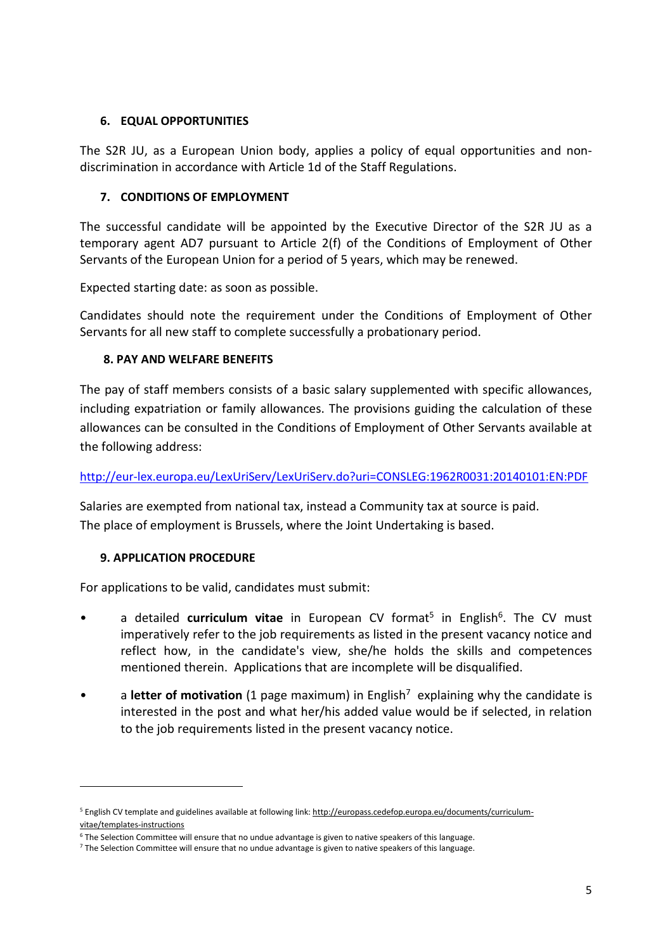#### **6. EQUAL OPPORTUNITIES**

The S2R JU, as a European Union body, applies a policy of equal opportunities and nondiscrimination in accordance with Article 1d of the Staff Regulations.

## **7. CONDITIONS OF EMPLOYMENT**

The successful candidate will be appointed by the Executive Director of the S2R JU as a temporary agent AD7 pursuant to Article 2(f) of the Conditions of Employment of Other Servants of the European Union for a period of 5 years, which may be renewed.

Expected starting date: as soon as possible.

Candidates should note the requirement under the Conditions of Employment of Other Servants for all new staff to complete successfully a probationary period.

## **8. PAY AND WELFARE BENEFITS**

The pay of staff members consists of a basic salary supplemented with specific allowances, including expatriation or family allowances. The provisions guiding the calculation of these allowances can be consulted in the Conditions of Employment of Other Servants available at the following address:

<http://eur-lex.europa.eu/LexUriServ/LexUriServ.do?uri=CONSLEG:1962R0031:20140101:EN:PDF>

Salaries are exempted from national tax, instead a Community tax at source is paid. The place of employment is Brussels, where the Joint Undertaking is based.

# **9. APPLICATION PROCEDURE**

 $\overline{a}$ 

For applications to be valid, candidates must submit:

- a detailed **curriculum vitae** in European CV format<sup>5</sup> in English<sup>6</sup>. The CV must imperatively refer to the job requirements as listed in the present vacancy notice and reflect how, in the candidate's view, she/he holds the skills and competences mentioned therein. Applications that are incomplete will be disqualified.
- a letter of motivation (1 page maximum) in English<sup>7</sup> explaining why the candidate is interested in the post and what her/his added value would be if selected, in relation to the job requirements listed in the present vacancy notice.

<sup>5</sup> English CV template and guidelines available at following link: [http://europass.cedefop.europa.eu/documents/curriculum](http://europass.cedefop.europa.eu/documents/curriculum-vitae/templates-instructions)[vitae/templates-instructions](http://europass.cedefop.europa.eu/documents/curriculum-vitae/templates-instructions)

<sup>6</sup> The Selection Committee will ensure that no undue advantage is given to native speakers of this language.

<sup>7</sup> The Selection Committee will ensure that no undue advantage is given to native speakers of this language.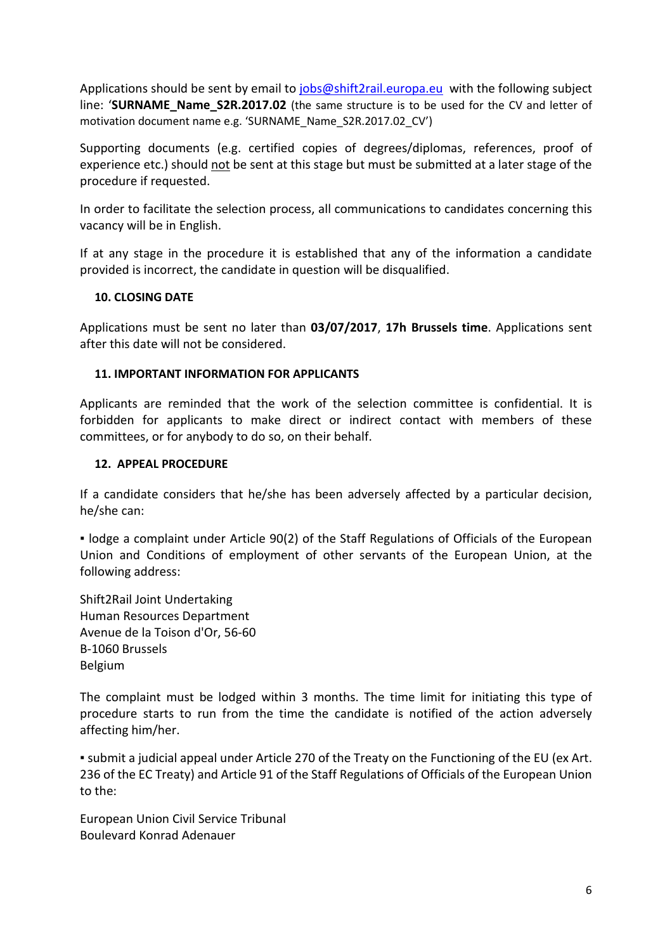Applications should be sent by email to [jobs@shift2rail.europa.eu](mailto:jobs@shift2rail.europa.eu) with the following subject line: '**SURNAME\_Name\_S2R.2017.02** (the same structure is to be used for the CV and letter of motivation document name e.g. 'SURNAME\_Name\_S2R.2017.02\_CV')

Supporting documents (e.g. certified copies of degrees/diplomas, references, proof of experience etc.) should not be sent at this stage but must be submitted at a later stage of the procedure if requested.

In order to facilitate the selection process, all communications to candidates concerning this vacancy will be in English.

If at any stage in the procedure it is established that any of the information a candidate provided is incorrect, the candidate in question will be disqualified.

## **10. CLOSING DATE**

Applications must be sent no later than **03/07/2017**, **17h Brussels time**. Applications sent after this date will not be considered.

## **11. IMPORTANT INFORMATION FOR APPLICANTS**

Applicants are reminded that the work of the selection committee is confidential. It is forbidden for applicants to make direct or indirect contact with members of these committees, or for anybody to do so, on their behalf.

## **12. APPEAL PROCEDURE**

If a candidate considers that he/she has been adversely affected by a particular decision, he/she can:

▪ lodge a complaint under Article 90(2) of the Staff Regulations of Officials of the European Union and Conditions of employment of other servants of the European Union, at the following address:

Shift2Rail Joint Undertaking Human Resources Department Avenue de la Toison d'Or, 56-60 B-1060 Brussels Belgium

The complaint must be lodged within 3 months. The time limit for initiating this type of procedure starts to run from the time the candidate is notified of the action adversely affecting him/her.

▪ submit a judicial appeal under Article 270 of the Treaty on the Functioning of the EU (ex Art. 236 of the EC Treaty) and Article 91 of the Staff Regulations of Officials of the European Union to the:

European Union Civil Service Tribunal Boulevard Konrad Adenauer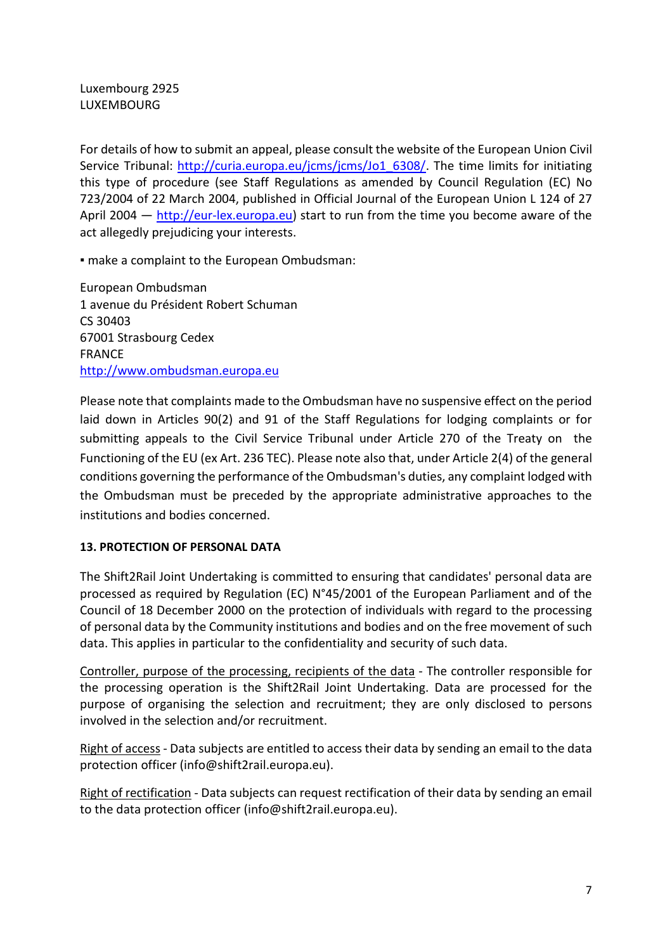Luxembourg 2925 LUXEMBOURG

For details of how to submit an appeal, please consult the website of the European Union Civil Service Tribunal: [http://curia.europa.eu/jcms/jcms/Jo1\\_6308/.](http://curia.europa.eu/jcms/jcms/Jo1_6308/) The time limits for initiating this type of procedure (see Staff Regulations as amended by Council Regulation (EC) No 723/2004 of 22 March 2004, published in Official Journal of the European Union L 124 of 27 April 2004  $-$  [http://eur-lex.europa.eu\)](http://eur-lex.europa.eu/) start to run from the time you become aware of the act allegedly prejudicing your interests.

▪ make a complaint to the European Ombudsman:

European Ombudsman 1 avenue du Président Robert Schuman CS 30403 67001 Strasbourg Cedex FRANCE [http://www.ombudsman.europa.eu](http://www.ombudsman.europa.eu/)

Please note that complaints made to the Ombudsman have no suspensive effect on the period laid down in Articles 90(2) and 91 of the Staff Regulations for lodging complaints or for submitting appeals to the Civil Service Tribunal under Article 270 of the Treaty on the Functioning of the EU (ex Art. 236 TEC). Please note also that, under Article 2(4) of the general conditions governing the performance of the Ombudsman's duties, any complaint lodged with the Ombudsman must be preceded by the appropriate administrative approaches to the institutions and bodies concerned.

# **13. PROTECTION OF PERSONAL DATA**

The Shift2Rail Joint Undertaking is committed to ensuring that candidates' personal data are processed as required by Regulation (EC) N°45/2001 of the European Parliament and of the Council of 18 December 2000 on the protection of individuals with regard to the processing of personal data by the Community institutions and bodies and on the free movement of such data. This applies in particular to the confidentiality and security of such data.

Controller, purpose of the processing, recipients of the data - The controller responsible for the processing operation is the Shift2Rail Joint Undertaking. Data are processed for the purpose of organising the selection and recruitment; they are only disclosed to persons involved in the selection and/or recruitment.

Right of access - Data subjects are entitled to access their data by sending an email to the data protection officer (info@shift2rail.europa.eu).

Right of rectification - Data subjects can request rectification of their data by sending an email to the data protection officer (info@shift2rail.europa.eu).